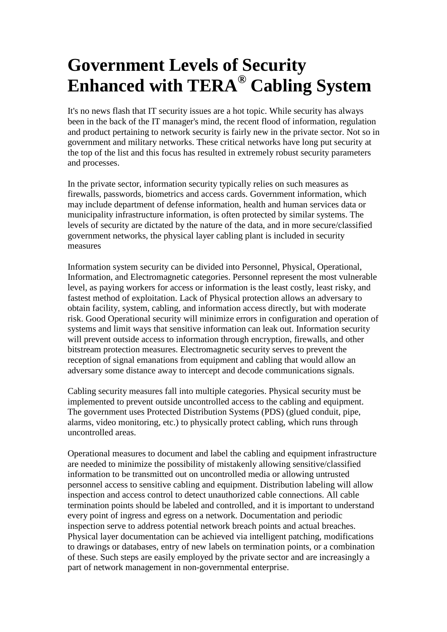## **Government Levels of Security Enhanced with TERA® Cabling System**

It's no news flash that IT security issues are a hot topic. While security has always been in the back of the IT manager's mind, the recent flood of information, regulation and product pertaining to network security is fairly new in the private sector. Not so in government and military networks. These critical networks have long put security at the top of the list and this focus has resulted in extremely robust security parameters and processes.

In the private sector, information security typically relies on such measures as firewalls, passwords, biometrics and access cards. Government information, which may include department of defense information, health and human services data or municipality infrastructure information, is often protected by similar systems. The levels of security are dictated by the nature of the data, and in more secure/classified government networks, the physical layer cabling plant is included in security measures

Information system security can be divided into Personnel, Physical, Operational, Information, and Electromagnetic categories. Personnel represent the most vulnerable level, as paying workers for access or information is the least costly, least risky, and fastest method of exploitation. Lack of Physical protection allows an adversary to obtain facility, system, cabling, and information access directly, but with moderate risk. Good Operational security will minimize errors in configuration and operation of systems and limit ways that sensitive information can leak out. Information security will prevent outside access to information through encryption, firewalls, and other bitstream protection measures. Electromagnetic security serves to prevent the reception of signal emanations from equipment and cabling that would allow an adversary some distance away to intercept and decode communications signals.

Cabling security measures fall into multiple categories. Physical security must be implemented to prevent outside uncontrolled access to the cabling and equipment. The government uses Protected Distribution Systems (PDS) (glued conduit, pipe, alarms, video monitoring, etc.) to physically protect cabling, which runs through uncontrolled areas.

Operational measures to document and label the cabling and equipment infrastructure are needed to minimize the possibility of mistakenly allowing sensitive/classified information to be transmitted out on uncontrolled media or allowing untrusted personnel access to sensitive cabling and equipment. Distribution labeling will allow inspection and access control to detect unauthorized cable connections. All cable termination points should be labeled and controlled, and it is important to understand every point of ingress and egress on a network. Documentation and periodic inspection serve to address potential network breach points and actual breaches. Physical layer documentation can be achieved via intelligent patching, modifications to drawings or databases, entry of new labels on termination points, or a combination of these. Such steps are easily employed by the private sector and are increasingly a part of network management in non-governmental enterprise.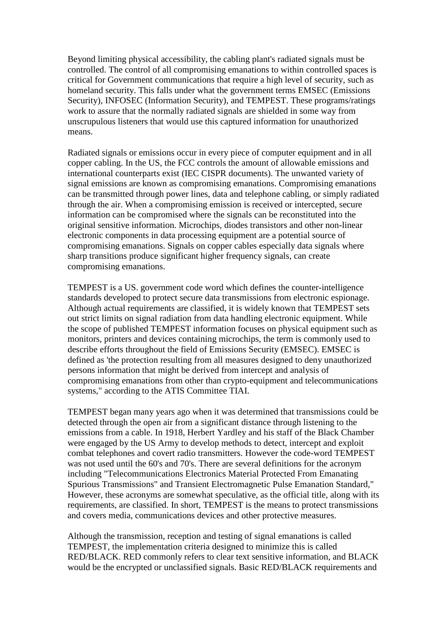Beyond limiting physical accessibility, the cabling plant's radiated signals must be controlled. The control of all compromising emanations to within controlled spaces is critical for Government communications that require a high level of security, such as homeland security. This falls under what the government terms EMSEC (Emissions Security), INFOSEC (Information Security), and TEMPEST. These programs/ratings work to assure that the normally radiated signals are shielded in some way from unscrupulous listeners that would use this captured information for unauthorized means.

Radiated signals or emissions occur in every piece of computer equipment and in all copper cabling. In the US, the FCC controls the amount of allowable emissions and international counterparts exist (IEC CISPR documents). The unwanted variety of signal emissions are known as compromising emanations. Compromising emanations can be transmitted through power lines, data and telephone cabling, or simply radiated through the air. When a compromising emission is received or intercepted, secure information can be compromised where the signals can be reconstituted into the original sensitive information. Microchips, diodes transistors and other non-linear electronic components in data processing equipment are a potential source of compromising emanations. Signals on copper cables especially data signals where sharp transitions produce significant higher frequency signals, can create compromising emanations.

TEMPEST is a US. government code word which defines the counter-intelligence standards developed to protect secure data transmissions from electronic espionage. Although actual requirements are classified, it is widely known that TEMPEST sets out strict limits on signal radiation from data handling electronic equipment. While the scope of published TEMPEST information focuses on physical equipment such as monitors, printers and devices containing microchips, the term is commonly used to describe efforts throughout the field of Emissions Security (EMSEC). EMSEC is defined as 'the protection resulting from all measures designed to deny unauthorized persons information that might be derived from intercept and analysis of compromising emanations from other than crypto-equipment and telecommunications systems," according to the ATIS Committee TIAI.

TEMPEST began many years ago when it was determined that transmissions could be detected through the open air from a significant distance through listening to the emissions from a cable. In 1918, Herbert Yardley and his staff of the Black Chamber were engaged by the US Army to develop methods to detect, intercept and exploit combat telephones and covert radio transmitters. However the code-word TEMPEST was not used until the 60's and 70's. There are several definitions for the acronym including "Telecommunications Electronics Material Protected From Emanating Spurious Transmissions" and Transient Electromagnetic Pulse Emanation Standard," However, these acronyms are somewhat speculative, as the official title, along with its requirements, are classified. In short, TEMPEST is the means to protect transmissions and covers media, communications devices and other protective measures.

Although the transmission, reception and testing of signal emanations is called TEMPEST, the implementation criteria designed to minimize this is called RED/BLACK. RED commonly refers to clear text sensitive information, and BLACK would be the encrypted or unclassified signals. Basic RED/BLACK requirements and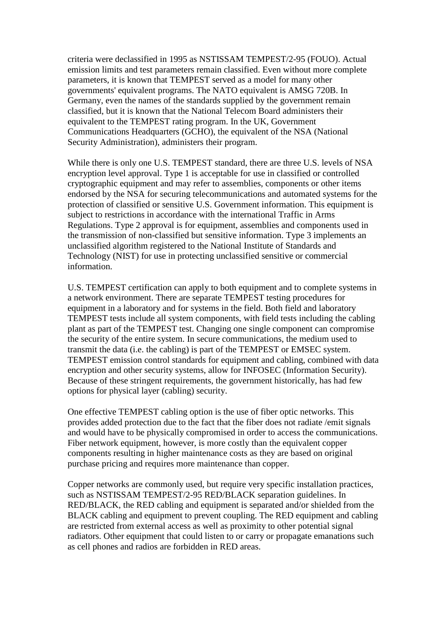criteria were declassified in 1995 as NSTISSAM TEMPEST/2-95 (FOUO). Actual emission limits and test parameters remain classified. Even without more complete parameters, it is known that TEMPEST served as a model for many other governments' equivalent programs. The NATO equivalent is AMSG 720B. In Germany, even the names of the standards supplied by the government remain classified, but it is known that the National Telecom Board administers their equivalent to the TEMPEST rating program. In the UK, Government Communications Headquarters (GCHO), the equivalent of the NSA (National Security Administration), administers their program.

While there is only one U.S. TEMPEST standard, there are three U.S. levels of NSA encryption level approval. Type 1 is acceptable for use in classified or controlled cryptographic equipment and may refer to assemblies, components or other items endorsed by the NSA for securing telecommunications and automated systems for the protection of classified or sensitive U.S. Government information. This equipment is subject to restrictions in accordance with the international Traffic in Arms Regulations. Type 2 approval is for equipment, assemblies and components used in the transmission of non-classified but sensitive information. Type 3 implements an unclassified algorithm registered to the National Institute of Standards and Technology (NIST) for use in protecting unclassified sensitive or commercial information.

U.S. TEMPEST certification can apply to both equipment and to complete systems in a network environment. There are separate TEMPEST testing procedures for equipment in a laboratory and for systems in the field. Both field and laboratory TEMPEST tests include all system components, with field tests including the cabling plant as part of the TEMPEST test. Changing one single component can compromise the security of the entire system. In secure communications, the medium used to transmit the data (i.e. the cabling) is part of the TEMPEST or EMSEC system. TEMPEST emission control standards for equipment and cabling, combined with data encryption and other security systems, allow for INFOSEC (Information Security). Because of these stringent requirements, the government historically, has had few options for physical layer (cabling) security.

One effective TEMPEST cabling option is the use of fiber optic networks. This provides added protection due to the fact that the fiber does not radiate /emit signals and would have to be physically compromised in order to access the communications. Fiber network equipment, however, is more costly than the equivalent copper components resulting in higher maintenance costs as they are based on original purchase pricing and requires more maintenance than copper.

Copper networks are commonly used, but require very specific installation practices, such as NSTISSAM TEMPEST/2-95 RED/BLACK separation guidelines. In RED/BLACK, the RED cabling and equipment is separated and/or shielded from the BLACK cabling and equipment to prevent coupling. The RED equipment and cabling are restricted from external access as well as proximity to other potential signal radiators. Other equipment that could listen to or carry or propagate emanations such as cell phones and radios are forbidden in RED areas.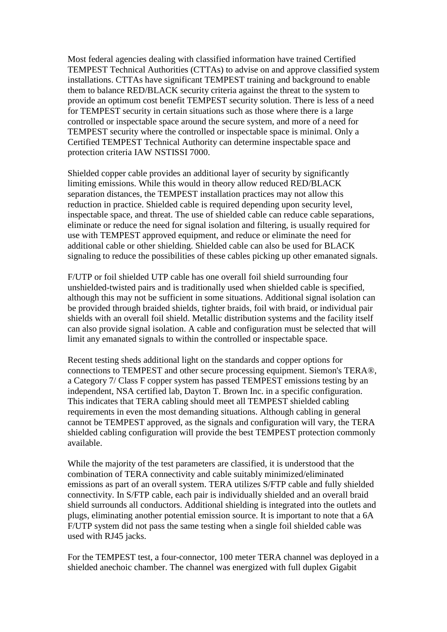Most federal agencies dealing with classified information have trained Certified TEMPEST Technical Authorities (CTTAs) to advise on and approve classified system installations. CTTAs have significant TEMPEST training and background to enable them to balance RED/BLACK security criteria against the threat to the system to provide an optimum cost benefit TEMPEST security solution. There is less of a need for TEMPEST security in certain situations such as those where there is a large controlled or inspectable space around the secure system, and more of a need for TEMPEST security where the controlled or inspectable space is minimal. Only a Certified TEMPEST Technical Authority can determine inspectable space and protection criteria IAW NSTISSI 7000.

Shielded copper cable provides an additional layer of security by significantly limiting emissions. While this would in theory allow reduced RED/BLACK separation distances, the TEMPEST installation practices may not allow this reduction in practice. Shielded cable is required depending upon security level, inspectable space, and threat. The use of shielded cable can reduce cable separations, eliminate or reduce the need for signal isolation and filtering, is usually required for use with TEMPEST approved equipment, and reduce or eliminate the need for additional cable or other shielding. Shielded cable can also be used for BLACK signaling to reduce the possibilities of these cables picking up other emanated signals.

F/UTP or foil shielded UTP cable has one overall foil shield surrounding four unshielded-twisted pairs and is traditionally used when shielded cable is specified, although this may not be sufficient in some situations. Additional signal isolation can be provided through braided shields, tighter braids, foil with braid, or individual pair shields with an overall foil shield. Metallic distribution systems and the facility itself can also provide signal isolation. A cable and configuration must be selected that will limit any emanated signals to within the controlled or inspectable space.

Recent testing sheds additional light on the standards and copper options for connections to TEMPEST and other secure processing equipment. Siemon's TERA®, a Category 7/ Class F copper system has passed TEMPEST emissions testing by an independent, NSA certified lab, Dayton T. Brown Inc. in a specific configuration. This indicates that TERA cabling should meet all TEMPEST shielded cabling requirements in even the most demanding situations. Although cabling in general cannot be TEMPEST approved, as the signals and configuration will vary, the TERA shielded cabling configuration will provide the best TEMPEST protection commonly available.

While the majority of the test parameters are classified, it is understood that the combination of TERA connectivity and cable suitably minimized/eliminated emissions as part of an overall system. TERA utilizes S/FTP cable and fully shielded connectivity. In S/FTP cable, each pair is individually shielded and an overall braid shield surrounds all conductors. Additional shielding is integrated into the outlets and plugs, eliminating another potential emission source. It is important to note that a 6A F/UTP system did not pass the same testing when a single foil shielded cable was used with RJ45 jacks.

For the TEMPEST test, a four-connector, 100 meter TERA channel was deployed in a shielded anechoic chamber. The channel was energized with full duplex Gigabit